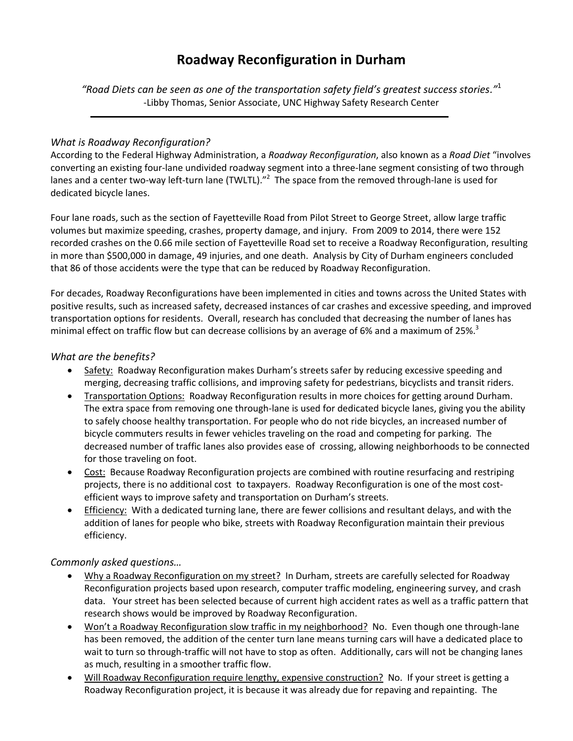# **Roadway Reconfiguration in Durham**

*"Road Diets can be seen as one of the transportation safety field's greatest success stories."* 1 -Libby Thomas, Senior Associate, UNC Highway Safety Research Center

## *What is Roadway Reconfiguration?*

According to the Federal Highway Administration, a *Roadway Reconfiguration*, also known as a *Road Diet* "involves converting an existing four-lane undivided roadway segment into a three-lane segment consisting of two through lanes and a center two-way left-turn lane (TWLTL)."<sup>2</sup> The space from the removed through-lane is used for dedicated bicycle lanes.

Four lane roads, such as the section of Fayetteville Road from Pilot Street to George Street, allow large traffic volumes but maximize speeding, crashes, property damage, and injury. From 2009 to 2014, there were 152 recorded crashes on the 0.66 mile section of Fayetteville Road set to receive a Roadway Reconfiguration, resulting in more than \$500,000 in damage, 49 injuries, and one death. Analysis by City of Durham engineers concluded that 86 of those accidents were the type that can be reduced by Roadway Reconfiguration.

For decades, Roadway Reconfigurations have been implemented in cities and towns across the United States with positive results, such as increased safety, decreased instances of car crashes and excessive speeding, and improved transportation options for residents. Overall, research has concluded that decreasing the number of lanes has minimal effect on traffic flow but can decrease collisions by an average of 6% and a maximum of 25%.<sup>3</sup>

#### *What are the benefits?*

- Safety: Roadway Reconfiguration makes Durham's streets safer by reducing excessive speeding and merging, decreasing traffic collisions, and improving safety for pedestrians, bicyclists and transit riders.
- Transportation Options: Roadway Reconfiguration results in more choices for getting around Durham. The extra space from removing one through-lane is used for dedicated bicycle lanes, giving you the ability to safely choose healthy transportation. For people who do not ride bicycles, an increased number of bicycle commuters results in fewer vehicles traveling on the road and competing for parking. The decreased number of traffic lanes also provides ease of crossing, allowing neighborhoods to be connected for those traveling on foot.
- Cost: Because Roadway Reconfiguration projects are combined with routine resurfacing and restriping projects, there is no additional cost to taxpayers. Roadway Reconfiguration is one of the most costefficient ways to improve safety and transportation on Durham's streets.
- Efficiency: With a dedicated turning lane, there are fewer collisions and resultant delays, and with the addition of lanes for people who bike, streets with Roadway Reconfiguration maintain their previous efficiency.

## *Commonly asked questions…*

- Why a Roadway Reconfiguration on my street? In Durham, streets are carefully selected for Roadway Reconfiguration projects based upon research, computer traffic modeling, engineering survey, and crash data. Your street has been selected because of current high accident rates as well as a traffic pattern that research shows would be improved by Roadway Reconfiguration.
- Won't a Roadway Reconfiguration slow traffic in my neighborhood? No. Even though one through-lane has been removed, the addition of the center turn lane means turning cars will have a dedicated place to wait to turn so through-traffic will not have to stop as often. Additionally, cars will not be changing lanes as much, resulting in a smoother traffic flow.
- Will Roadway Reconfiguration require lengthy, expensive construction? No. If your street is getting a Roadway Reconfiguration project, it is because it was already due for repaving and repainting. The